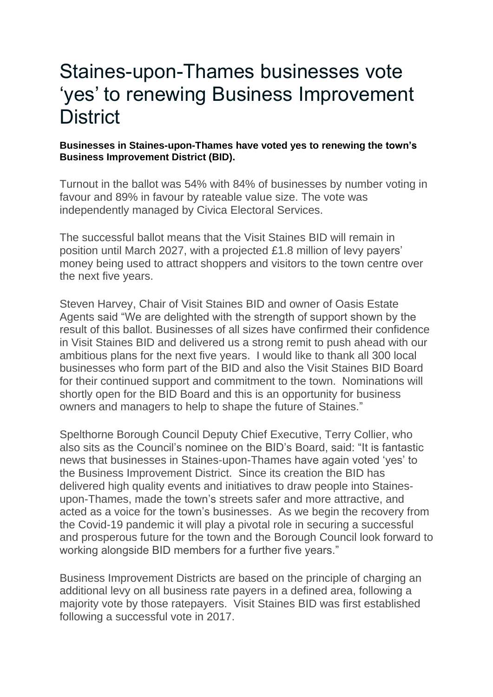## Staines-upon-Thames businesses vote 'yes' to renewing Business Improvement **District**

## **Businesses in Staines-upon-Thames have voted yes to renewing the town's Business Improvement District (BID).**

Turnout in the ballot was 54% with 84% of businesses by number voting in favour and 89% in favour by rateable value size. The vote was independently managed by Civica Electoral Services.

The successful ballot means that the Visit Staines BID will remain in position until March 2027, with a projected £1.8 million of levy payers' money being used to attract shoppers and visitors to the town centre over the next five years.

Steven Harvey, Chair of Visit Staines BID and owner of Oasis Estate Agents said "We are delighted with the strength of support shown by the result of this ballot. Businesses of all sizes have confirmed their confidence in Visit Staines BID and delivered us a strong remit to push ahead with our ambitious plans for the next five years. I would like to thank all 300 local businesses who form part of the BID and also the Visit Staines BID Board for their continued support and commitment to the town. Nominations will shortly open for the BID Board and this is an opportunity for business owners and managers to help to shape the future of Staines."

Spelthorne Borough Council Deputy Chief Executive, Terry Collier, who also sits as the Council's nominee on the BID's Board, said: "It is fantastic news that businesses in Staines-upon-Thames have again voted 'yes' to the Business Improvement District. Since its creation the BID has delivered high quality events and initiatives to draw people into Stainesupon-Thames, made the town's streets safer and more attractive, and acted as a voice for the town's businesses. As we begin the recovery from the Covid-19 pandemic it will play a pivotal role in securing a successful and prosperous future for the town and the Borough Council look forward to working alongside BID members for a further five years."

Business Improvement Districts are based on the principle of charging an additional levy on all business rate payers in a defined area, following a majority vote by those ratepayers. Visit Staines BID was first established following a successful vote in 2017.